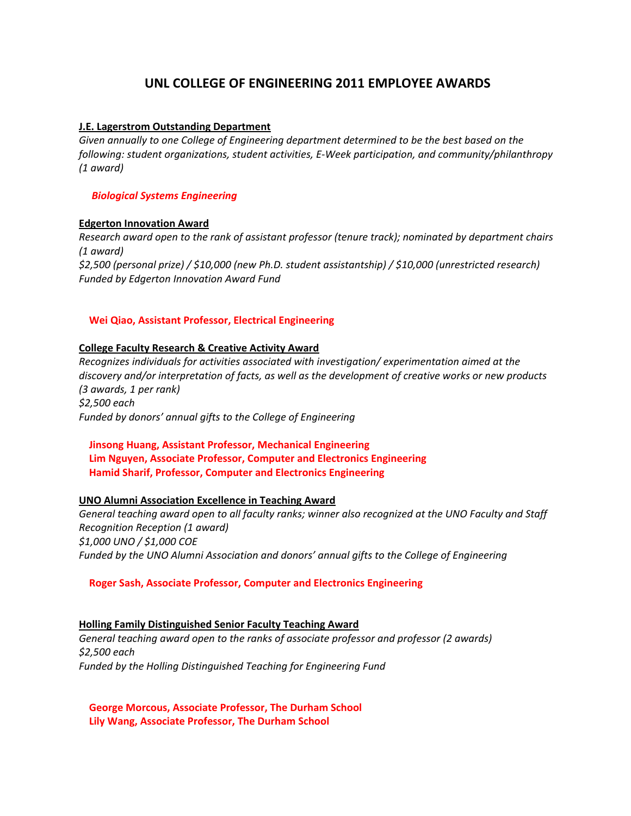# **UNL COLLEGE OF ENGINEERING 2011 EMPLOYEE AWARDS**

# **J.E. Lagerstrom Outstanding Department**

*Given annually to one College of Engineering department determined to be the best based on the following: student organizations, student activities, E‐Week participation, and community/philanthropy (1 award)* 

## *Biological Systems Engineering*

## **Edgerton Innovation Award**

*Research award open to the rank of assistant professor (tenure track); nominated by department chairs (1 award) \$2,500 (personal prize) / \$10,000 (new Ph.D. student assistantship) / \$10,000 (unrestricted research) Funded by Edgerton Innovation Award Fund*

# **Wei Qiao, Assistant Professor, Electrical Engineering**

## **College Faculty Research & Creative Activity Award**

*Recognizes individuals for activities associated with investigation/ experimentation aimed at the discovery and/or interpretation of facts, as well as the development of creative works or new products (3 awards, 1 per rank) \$2,500 each Funded by donors' annual gifts to the College of Engineering*

# **Jinsong Huang, Assistant Professor, Mechanical Engineering Lim Nguyen, Associate Professor, Computer and Electronics Engineering Hamid Sharif, Professor, Computer and Electronics Engineering**

#### **UNO Alumni Association Excellence in Teaching Award**

*General teaching award open to all faculty ranks; winner also recognized at the UNO Faculty and Staff Recognition Reception (1 award) \$1,000 UNO / \$1,000 COE Funded by the UNO Alumni Association and donors' annual gifts to the College of Engineering*

# **Roger Sash, Associate Professor, Computer and Electronics Engineering**

#### **Holling Family Distinguished Senior Faculty Teaching Award**

*General teaching award open to the ranks of associate professor and professor (2 awards) \$2,500 each Funded by the Holling Distinguished Teaching for Engineering Fund*

 **George Morcous, Associate Professor, The Durham School Lily Wang, Associate Professor, The Durham School**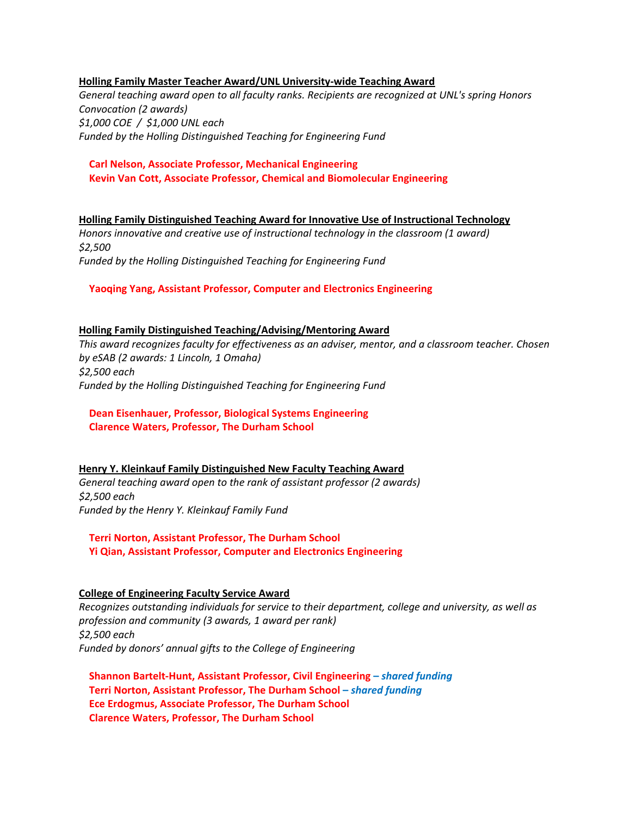#### **Holling Family Master Teacher Award/UNL University‐wide Teaching Award**

*General teaching award open to all faculty ranks. Recipients are recognized at UNL's spring Honors Convocation (2 awards) \$1,000 COE / \$1,000 UNL each Funded by the Holling Distinguished Teaching for Engineering Fund*

## **Carl Nelson, Associate Professor, Mechanical Engineering Kevin Van Cott, Associate Professor, Chemical and Biomolecular Engineering**

**Holling Family Distinguished Teaching Award for Innovative Use of Instructional Technology** *Honors innovative and creative use of instructional technology in the classroom (1 award) \$2,500 Funded by the Holling Distinguished Teaching for Engineering Fund*

## **Yaoqing Yang, Assistant Professor, Computer and Electronics Engineering**

#### **Holling Family Distinguished Teaching/Advising/Mentoring Award**

*This award recognizes faculty for effectiveness as an adviser, mentor, and a classroom teacher. Chosen by eSAB (2 awards: 1 Lincoln, 1 Omaha) \$2,500 each Funded by the Holling Distinguished Teaching for Engineering Fund*

# **Dean Eisenhauer, Professor, Biological Systems Engineering Clarence Waters, Professor, The Durham School**

#### **Henry Y. Kleinkauf Family Distinguished New Faculty Teaching Award**

*General teaching award open to the rank of assistant professor (2 awards) \$2,500 each Funded by the Henry Y. Kleinkauf Family Fund* 

 **Terri Norton, Assistant Professor, The Durham School Yi Qian, Assistant Professor, Computer and Electronics Engineering**

#### **College of Engineering Faculty Service Award**

*Recognizes outstanding individuals for service to their department, college and university, as well as profession and community (3 awards, 1 award per rank) \$2,500 each Funded by donors' annual gifts to the College of Engineering* 

 **Shannon Bartelt‐Hunt, Assistant Professor, Civil Engineering –** *shared funding*  **Terri Norton, Assistant Professor, The Durham School –** *shared funding*  **Ece Erdogmus, Associate Professor, The Durham School Clarence Waters, Professor, The Durham School**